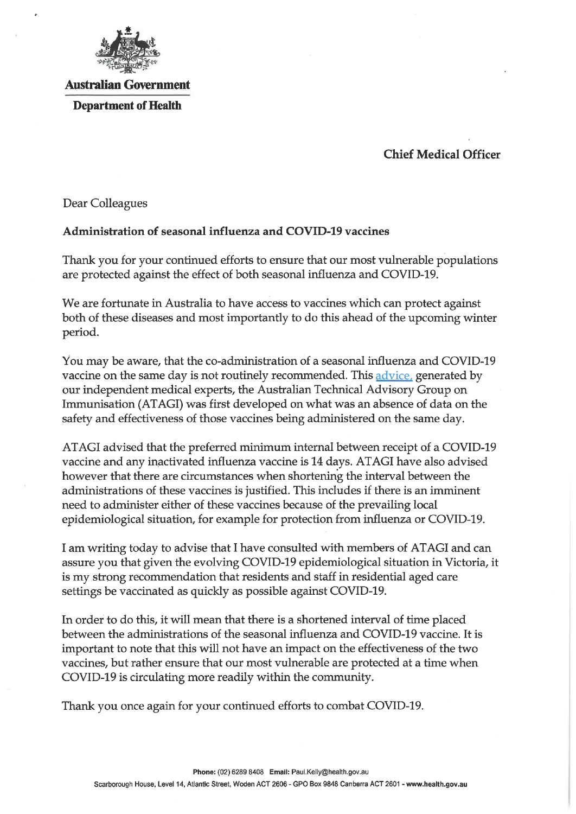

## Australian Government Department of Health

## Chief Medical Officer

Dear Colleagues

## Administration of seasonal influenza and COVID-19 vaccines

Thank you for your continued efforts to ensure that our most vulnerable populations are protected against the effect of both seasonal influenza and COVID-19.

We are fortunate in Australia to have access to vaccines which can protect against both of these diseases and most importantly to do this ahead of the upcoming winter period.

You may be aware/ that the co-administration of a seasonal influenza and COVID-19 vaccine on the same day is not routinely recommended. This advice, generated by our independent medical experts, the Australian Technical Advisory Group on Immunisation (ATAGI) was first developed on what was an absence of data on the safety and effectiveness of those vaccines being administered on the same day.

ATAGI advised that the preferred mininium internal between receipt of a COVID-19 vaccine and any inactivated influenza vaccine is 14 days. ATAGI have also advised however that there are circumstances when shortening the interval between the administrations of these vaccines is justified. This includes if there is an imminent need to administer either of these vaccines because of the prevailing local epidemiological situation, for example for protection from influenza or COVID-19.

I am writing today to advise that I have consulted with members of ATAGI and can assure you that given the evolving COVID-19 epidemiological situation in Victoria, it is my strong recommendation that residents and staff in residential aged care settings be vaccinated as quickly as possible against COVID-19.

In order to do this, it will mean that there is a shortened interval of time placed between the administrations of the seasonal influenza and COVID-19 vaccine. It is important to note that this will not have an impact on the effectiveness of the two vaccines, but rather ensure that our most vulnerable are protected at a time when COVID-19 is circulating more readily within the community.

Thank you once again for your continued efforts to combat COVID-19.